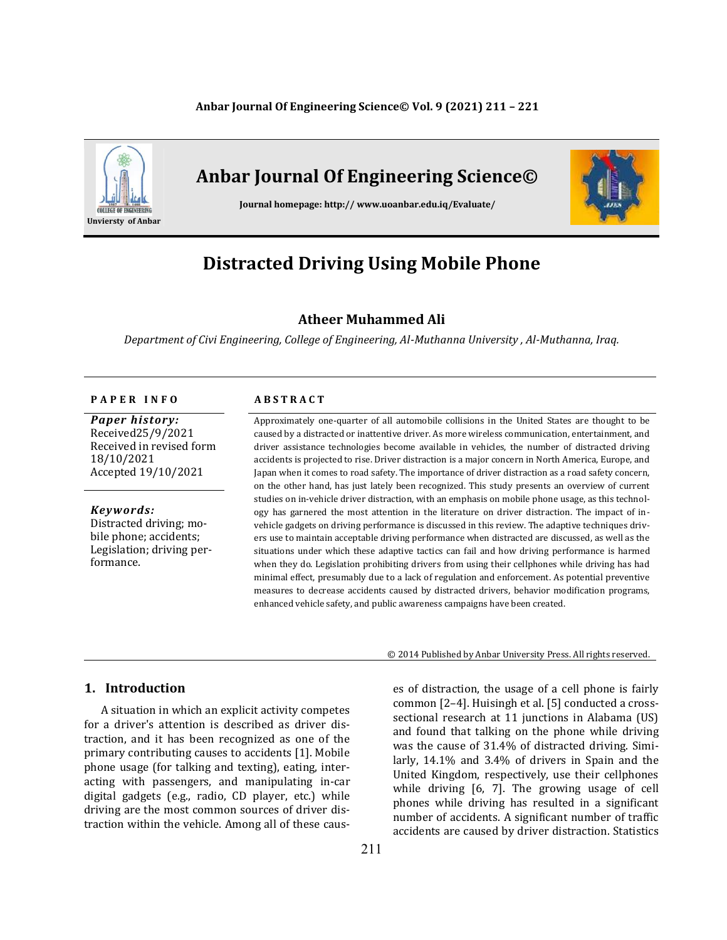#### **Anbar Journal Of Engineering Science© Vol. 9 (2021) 211 – 221**



# **Anbar Journal Of Engineering Science©**

**Journal homepage: http:// www.uoanbar.edu.iq/Evaluate/**



# **Distracted Driving Using Mobile Phone**

# **Atheer Muhammed Ali**

*Department of Civi Engineering, College of Engineering, Al-Muthanna University , Al-Muthanna, Iraq.*

#### **P A P E R I N F O A B S T R A C T**

*Paper history:* Received25/9/2021 Received in revised form 18/10/2021 Accepted 19/10/2021

*Keywords:* Distracted driving; mobile phone; accidents; Legislation; driving performance.

Approximately one-quarter of all automobile collisions in the United States are thought to be caused by a distracted or inattentive driver. As more wireless communication, entertainment, and driver assistance technologies become available in vehicles, the number of distracted driving accidents is projected to rise. Driver distraction is a major concern in North America, Europe, and Japan when it comes to road safety. The importance of driver distraction as a road safety concern, on the other hand, has just lately been recognized. This study presents an overview of current studies on in-vehicle driver distraction, with an emphasis on mobile phone usage, as this technology has garnered the most attention in the literature on driver distraction. The impact of invehicle gadgets on driving performance is discussed in this review. The adaptive techniques drivers use to maintain acceptable driving performance when distracted are discussed, as well as the situations under which these adaptive tactics can fail and how driving performance is harmed when they do. Legislation prohibiting drivers from using their cellphones while driving has had minimal effect, presumably due to a lack of regulation and enforcement. As potential preventive measures to decrease accidents caused by distracted drivers, behavior modification programs, enhanced vehicle safety, and public awareness campaigns have been created.

# **1. Introduction**

A situation in which an explicit activity competes for a driver's attention is described as driver distraction, and it has been recognized as one of the primary contributing causes to accidents [1]. Mobile phone usage (for talking and texting), eating, interacting with passengers, and manipulating in-car digital gadgets (e.g., radio, CD player, etc.) while driving are the most common sources of driver distraction within the vehicle. Among all of these caus© 2014 Published by Anbar University Press. All rights reserved.

es of distraction, the usage of a cell phone is fairly common [2–4]. Huisingh et al. [5] conducted a crosssectional research at 11 junctions in Alabama (US) and found that talking on the phone while driving was the cause of 31.4% of distracted driving. Similarly, 14.1% and 3.4% of drivers in Spain and the United Kingdom, respectively, use their cellphones while driving [6, 7]. The growing usage of cell phones while driving has resulted in a significant number of accidents. A significant number of traffic accidents are caused by driver distraction. Statistics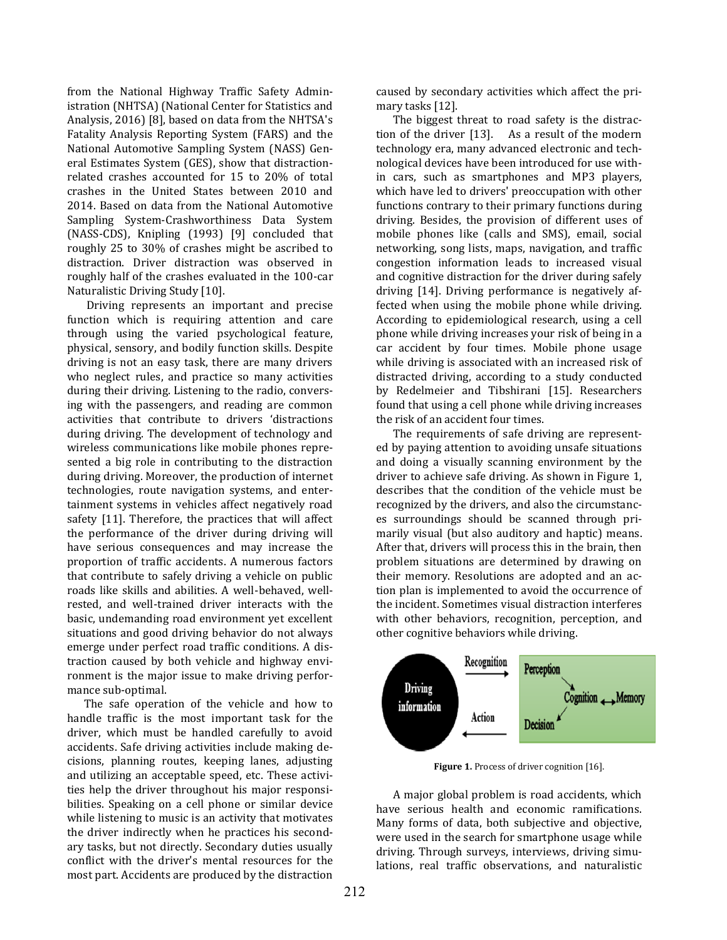from the National Highway Traffic Safety Administration (NHTSA) (National Center for Statistics and Analysis, 2016) [8], based on data from the NHTSA's Fatality Analysis Reporting System (FARS) and the National Automotive Sampling System (NASS) General Estimates System (GES), show that distractionrelated crashes accounted for 15 to 20% of total crashes in the United States between 2010 and 2014. Based on data from the National Automotive Sampling System-Crashworthiness Data System (NASS-CDS), Knipling (1993) [9] concluded that roughly 25 to 30% of crashes might be ascribed to distraction. Driver distraction was observed in roughly half of the crashes evaluated in the 100-car Naturalistic Driving Study [10].

Driving represents an important and precise function which is requiring attention and care through using the varied psychological feature, physical, sensory, and bodily function skills. Despite driving is not an easy task, there are many drivers who neglect rules, and practice so many activities during their driving. Listening to the radio, conversing with the passengers, and reading are common activities that contribute to drivers 'distractions during driving. The development of technology and wireless communications like mobile phones represented a big role in contributing to the distraction during driving. Moreover, the production of internet technologies, route navigation systems, and entertainment systems in vehicles affect negatively road safety [11]. Therefore, the practices that will affect the performance of the driver during driving will have serious consequences and may increase the proportion of traffic accidents. A numerous factors that contribute to safely driving a vehicle on public roads like skills and abilities. A well-behaved, wellrested, and well-trained driver interacts with the basic, undemanding road environment yet excellent situations and good driving behavior do not always emerge under perfect road traffic conditions. A distraction caused by both vehicle and highway environment is the major issue to make driving performance sub-optimal.

The safe operation of the vehicle and how to handle traffic is the most important task for the driver, which must be handled carefully to avoid accidents. Safe driving activities include making decisions, planning routes, keeping lanes, adjusting and utilizing an acceptable speed, etc. These activities help the driver throughout his major responsibilities. Speaking on a cell phone or similar device while listening to music is an activity that motivates the driver indirectly when he practices his secondary tasks, but not directly. Secondary duties usually conflict with the driver's mental resources for the most part. Accidents are produced by the distraction

caused by secondary activities which affect the primary tasks [12].

The biggest threat to road safety is the distraction of the driver [13]. As a result of the modern technology era, many advanced electronic and technological devices have been introduced for use within cars, such as smartphones and MP3 players, which have led to drivers' preoccupation with other functions contrary to their primary functions during driving. Besides, the provision of different uses of mobile phones like (calls and SMS), email, social networking, song lists, maps, navigation, and traffic congestion information leads to increased visual and cognitive distraction for the driver during safely driving [14]. Driving performance is negatively affected when using the mobile phone while driving. According to epidemiological research, using a cell phone while driving increases your risk of being in a car accident by four times. Mobile phone usage while driving is associated with an increased risk of distracted driving, according to a study conducted by Redelmeier and Tibshirani [15]. Researchers found that using a cell phone while driving increases the risk of an accident four times.

The requirements of safe driving are represented by paying attention to avoiding unsafe situations and doing a visually scanning environment by the driver to achieve safe driving. As shown in Figure 1, describes that the condition of the vehicle must be recognized by the drivers, and also the circumstances surroundings should be scanned through primarily visual (but also auditory and haptic) means. After that, drivers will process this in the brain, then problem situations are determined by drawing on their memory. Resolutions are adopted and an action plan is implemented to avoid the occurrence of the incident. Sometimes visual distraction interferes with other behaviors, recognition, perception, and other cognitive behaviors while driving.



Figure 1. Process of driver cognition [16].

A major global problem is road accidents, which have serious health and economic ramifications. Many forms of data, both subjective and objective, were used in the search for smartphone usage while driving. Through surveys, interviews, driving simulations, real traffic observations, and naturalistic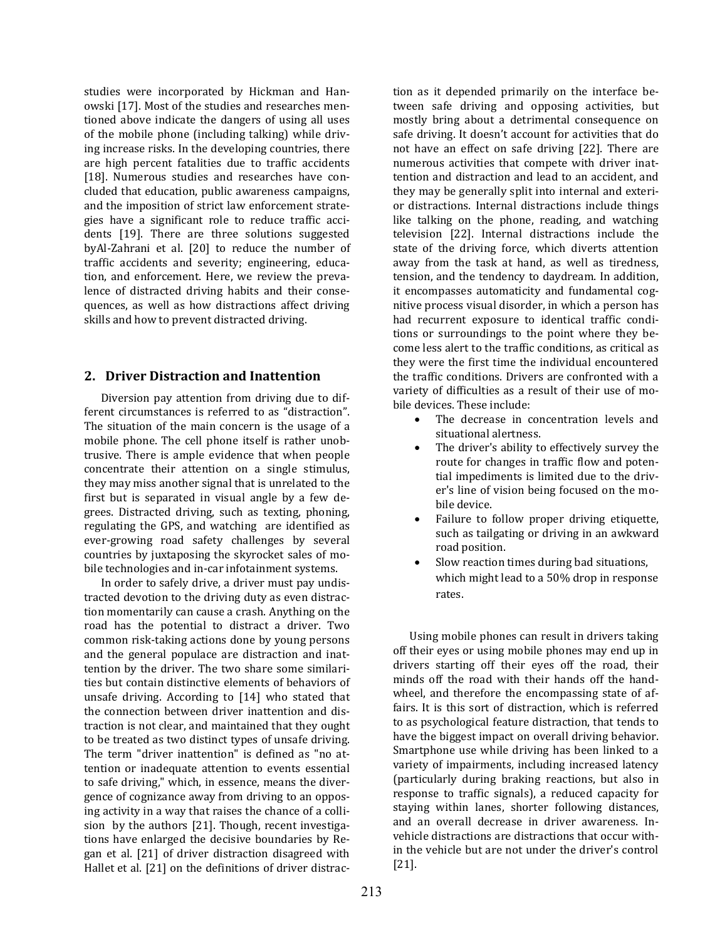studies were incorporated by Hickman and Hanowski [17]. Most of the studies and researches mentioned above indicate the dangers of using all uses of the mobile phone (including talking) while driving increase risks. In the developing countries, there are high percent fatalities due to traffic accidents [18]. Numerous studies and researches have concluded that education, public awareness campaigns, and the imposition of strict law enforcement strategies have a significant role to reduce traffic accidents [19]. There are three solutions suggested byAl-Zahrani et al. [20] to reduce the number of traffic accidents and severity; engineering, education, and enforcement. Here, we review the prevalence of distracted driving habits and their consequences, as well as how distractions affect driving skills and how to prevent distracted driving.

# **2. Driver Distraction and Inattention**

Diversion pay attention from driving due to different circumstances is referred to as "distraction". The situation of the main concern is the usage of a mobile phone. The cell phone itself is rather unobtrusive. There is ample evidence that when people concentrate their attention on a single stimulus, they may miss another signal that is unrelated to the first but is separated in visual angle by a few degrees. Distracted driving, such as texting, phoning, regulating the GPS, and watching are identified as ever-growing road safety challenges by several countries by juxtaposing the skyrocket sales of mobile technologies and in-car infotainment systems.

In order to safely drive, a driver must pay undistracted devotion to the driving duty as even distraction momentarily can cause a crash. Anything on the road has the potential to distract a driver. Two common risk-taking actions done by young persons and the general populace are distraction and inattention by the driver. The two share some similarities but contain distinctive elements of behaviors of unsafe driving. According to [14] who stated that the connection between driver inattention and distraction is not clear, and maintained that they ought to be treated as two distinct types of unsafe driving. The term "driver inattention" is defined as "no attention or inadequate attention to events essential to safe driving," which, in essence, means the divergence of cognizance away from driving to an opposing activity in a way that raises the chance of a collision by the authors [21]. Though, recent investigations have enlarged the decisive boundaries by Regan et al. [21] of driver distraction disagreed with Hallet et al. [21] on the definitions of driver distraction as it depended primarily on the interface between safe driving and opposing activities, but mostly bring about a detrimental consequence on safe driving. It doesn't account for activities that do not have an effect on safe driving [22]. There are numerous activities that compete with driver inattention and distraction and lead to an accident, and they may be generally split into internal and exterior distractions. Internal distractions include things like talking on the phone, reading, and watching television [22]. Internal distractions include the state of the driving force, which diverts attention away from the task at hand, as well as tiredness, tension, and the tendency to daydream. In addition, it encompasses automaticity and fundamental cognitive process visual disorder, in which a person has had recurrent exposure to identical traffic conditions or surroundings to the point where they become less alert to the traffic conditions, as critical as they were the first time the individual encountered the traffic conditions. Drivers are confronted with a variety of difficulties as a result of their use of mobile devices. These include:

- The decrease in concentration levels and situational alertness.
- The driver's ability to effectively survey the route for changes in traffic flow and potential impediments is limited due to the driver's line of vision being focused on the mobile device.
- Failure to follow proper driving etiquette, such as tailgating or driving in an awkward road position.
- Slow reaction times during bad situations, which might lead to a 50% drop in response rates.

Using mobile phones can result in drivers taking off their eyes or using mobile phones may end up in drivers starting off their eyes off the road, their minds off the road with their hands off the handwheel, and therefore the encompassing state of affairs. It is this sort of distraction, which is referred to as psychological feature distraction, that tends to have the biggest impact on overall driving behavior. Smartphone use while driving has been linked to a variety of impairments, including increased latency (particularly during braking reactions, but also in response to traffic signals), a reduced capacity for staying within lanes, shorter following distances, and an overall decrease in driver awareness. Invehicle distractions are distractions that occur within the vehicle but are not under the driver's control [21].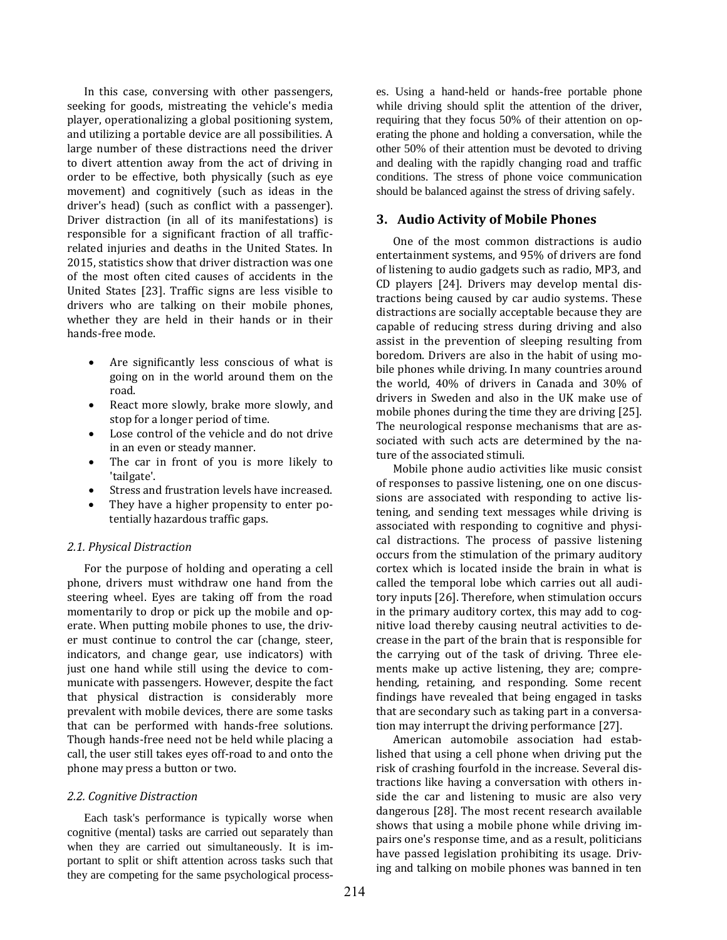In this case, conversing with other passengers, seeking for goods, mistreating the vehicle's media player, operationalizing a global positioning system, and utilizing a portable device are all possibilities. A large number of these distractions need the driver to divert attention away from the act of driving in order to be effective, both physically (such as eye movement) and cognitively (such as ideas in the driver's head) (such as conflict with a passenger). Driver distraction (in all of its manifestations) is responsible for a significant fraction of all trafficrelated injuries and deaths in the United States. In 2015, statistics show that driver distraction was one of the most often cited causes of accidents in the United States [23]. Traffic signs are less visible to drivers who are talking on their mobile phones, whether they are held in their hands or in their hands-free mode.

- Are significantly less conscious of what is going on in the world around them on the road.
- React more slowly, brake more slowly, and stop for a longer period of time.
- Lose control of the vehicle and do not drive in an even or steady manner.
- The car in front of you is more likely to 'tailgate'.
- Stress and frustration levels have increased.
- They have a higher propensity to enter potentially hazardous traffic gaps.

### *2.1. Physical Distraction*

For the purpose of holding and operating a cell phone, drivers must withdraw one hand from the steering wheel. Eyes are taking off from the road momentarily to drop or pick up the mobile and operate. When putting mobile phones to use, the driver must continue to control the car (change, steer, indicators, and change gear, use indicators) with just one hand while still using the device to communicate with passengers. However, despite the fact that physical distraction is considerably more prevalent with mobile devices, there are some tasks that can be performed with hands-free solutions. Though hands-free need not be held while placing a call, the user still takes eyes off-road to and onto the phone may press a button or two.

#### *2.2. Cognitive Distraction*

Each task's performance is typically worse when cognitive (mental) tasks are carried out separately than when they are carried out simultaneously. It is important to split or shift attention across tasks such that they are competing for the same psychological processes. Using a hand-held or hands-free portable phone while driving should split the attention of the driver, requiring that they focus 50% of their attention on operating the phone and holding a conversation, while the other 50% of their attention must be devoted to driving and dealing with the rapidly changing road and traffic conditions. The stress of phone voice communication should be balanced against the stress of driving safely.

#### **3. Audio Activity of Mobile Phones**

One of the most common distractions is audio entertainment systems, and 95% of drivers are fond of listening to audio gadgets such as radio, MP3, and CD players [24]. Drivers may develop mental distractions being caused by car audio systems. These distractions are socially acceptable because they are capable of reducing stress during driving and also assist in the prevention of sleeping resulting from boredom. Drivers are also in the habit of using mobile phones while driving. In many countries around the world, 40% of drivers in Canada and 30% of drivers in Sweden and also in the UK make use of mobile phones during the time they are driving [25]. The neurological response mechanisms that are associated with such acts are determined by the nature of the associated stimuli.

Mobile phone audio activities like music consist of responses to passive listening, one on one discussions are associated with responding to active listening, and sending text messages while driving is associated with responding to cognitive and physical distractions. The process of passive listening occurs from the stimulation of the primary auditory cortex which is located inside the brain in what is called the temporal lobe which carries out all auditory inputs [26]. Therefore, when stimulation occurs in the primary auditory cortex, this may add to cognitive load thereby causing neutral activities to decrease in the part of the brain that is responsible for the carrying out of the task of driving. Three elements make up active listening, they are; comprehending, retaining, and responding. Some recent findings have revealed that being engaged in tasks that are secondary such as taking part in a conversation may interrupt the driving performance [27].

American automobile association had established that using a cell phone when driving put the risk of crashing fourfold in the increase. Several distractions like having a conversation with others inside the car and listening to music are also very dangerous [28]. The most recent research available shows that using a mobile phone while driving impairs one's response time, and as a result, politicians have passed legislation prohibiting its usage. Driving and talking on mobile phones was banned in ten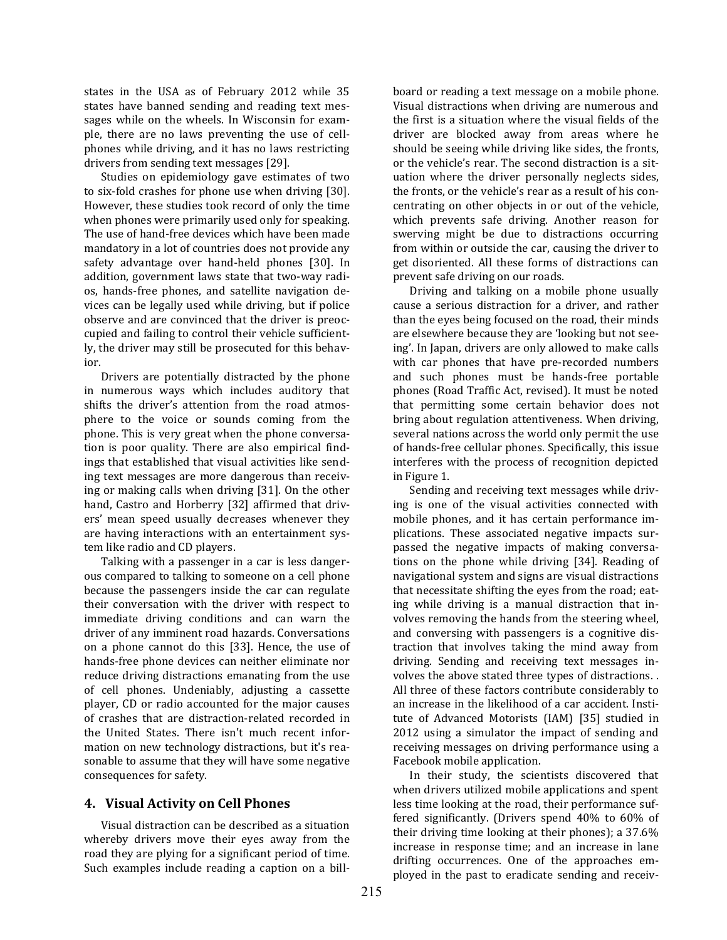states in the USA as of February 2012 while 35 states have banned sending and reading text messages while on the wheels. In Wisconsin for example, there are no laws preventing the use of cellphones while driving, and it has no laws restricting drivers from sending text messages [29].

Studies on epidemiology gave estimates of two to six-fold crashes for phone use when driving [30]. However, these studies took record of only the time when phones were primarily used only for speaking. The use of hand-free devices which have been made mandatory in a lot of countries does not provide any safety advantage over hand-held phones [30]. In addition, government laws state that two-way radios, hands-free phones, and satellite navigation devices can be legally used while driving, but if police observe and are convinced that the driver is preoccupied and failing to control their vehicle sufficiently, the driver may still be prosecuted for this behavior.

Drivers are potentially distracted by the phone in numerous ways which includes auditory that shifts the driver's attention from the road atmosphere to the voice or sounds coming from the phone. This is very great when the phone conversation is poor quality. There are also empirical findings that established that visual activities like sending text messages are more dangerous than receiving or making calls when driving [31]. On the other hand, Castro and Horberry [32] affirmed that drivers' mean speed usually decreases whenever they are having interactions with an entertainment system like radio and CD players.

Talking with a passenger in a car is less dangerous compared to talking to someone on a cell phone because the passengers inside the car can regulate their conversation with the driver with respect to immediate driving conditions and can warn the driver of any imminent road hazards. Conversations on a phone cannot do this [33]. Hence, the use of hands-free phone devices can neither eliminate nor reduce driving distractions emanating from the use of cell phones. Undeniably, adjusting a cassette player, CD or radio accounted for the major causes of crashes that are distraction-related recorded in the United States. There isn't much recent information on new technology distractions, but it's reasonable to assume that they will have some negative consequences for safety.

# **4. Visual Activity on Cell Phones**

Visual distraction can be described as a situation whereby drivers move their eyes away from the road they are plying for a significant period of time. Such examples include reading a caption on a billboard or reading a text message on a mobile phone. Visual distractions when driving are numerous and the first is a situation where the visual fields of the driver are blocked away from areas where he should be seeing while driving like sides, the fronts, or the vehicle's rear. The second distraction is a situation where the driver personally neglects sides, the fronts, or the vehicle's rear as a result of his concentrating on other objects in or out of the vehicle, which prevents safe driving. Another reason for swerving might be due to distractions occurring from within or outside the car, causing the driver to get disoriented. All these forms of distractions can prevent safe driving on our roads.

Driving and talking on a mobile phone usually cause a serious distraction for a driver, and rather than the eyes being focused on the road, their minds are elsewhere because they are 'looking but not seeing'. In Japan, drivers are only allowed to make calls with car phones that have pre-recorded numbers and such phones must be hands-free portable phones (Road Traffic Act, revised). It must be noted that permitting some certain behavior does not bring about regulation attentiveness. When driving, several nations across the world only permit the use of hands-free cellular phones. Specifically, this issue interferes with the process of recognition depicted in Figure 1.

Sending and receiving text messages while driving is one of the visual activities connected with mobile phones, and it has certain performance implications. These associated negative impacts surpassed the negative impacts of making conversations on the phone while driving [34]. Reading of navigational system and signs are visual distractions that necessitate shifting the eyes from the road; eating while driving is a manual distraction that involves removing the hands from the steering wheel, and conversing with passengers is a cognitive distraction that involves taking the mind away from driving. Sending and receiving text messages involves the above stated three types of distractions. . All three of these factors contribute considerably to an increase in the likelihood of a car accident. Institute of Advanced Motorists (IAM) [35] studied in 2012 using a simulator the impact of sending and receiving messages on driving performance using a Facebook mobile application.

In their study, the scientists discovered that when drivers utilized mobile applications and spent less time looking at the road, their performance suffered significantly. (Drivers spend 40% to 60% of their driving time looking at their phones); a 37.6% increase in response time; and an increase in lane drifting occurrences. One of the approaches employed in the past to eradicate sending and receiv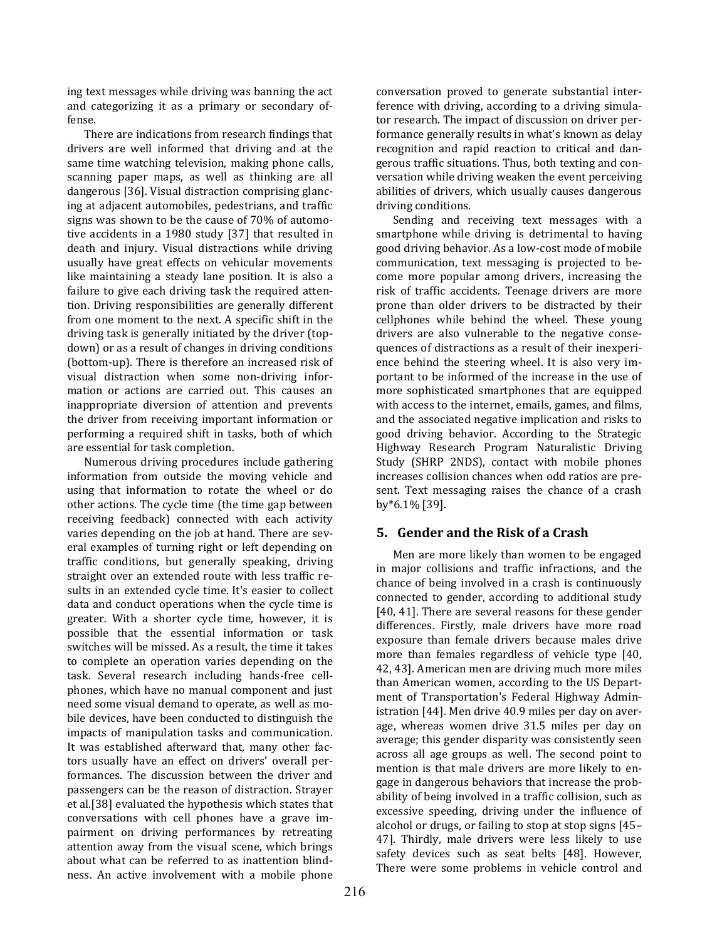ing text messages while driving was banning the act and categorizing it as a primary or secondary offense.

There are indications from research findings that drivers are well informed that driving and at the same time watching television, making phone calls, scanning paper maps, as well as thinking are all dangerous [36]. Visual distraction comprising glancing at adjacent automobiles, pedestrians, and traffic signs was shown to be the cause of 70% of automotive accidents in a 1980 study [37] that resulted in death and injury. Visual distractions while driving usually have great effects on vehicular movements like maintaining a steady lane position. It is also a failure to give each driving task the required attention. Driving responsibilities are generally different from one moment to the next. A specific shift in the driving task is generally initiated by the driver (topdown) or as a result of changes in driving conditions (bottom-up). There is therefore an increased risk of visual distraction when some non-driving information or actions are carried out. This causes an inappropriate diversion of attention and prevents the driver from receiving important information or performing a required shift in tasks, both of which are essential for task completion.

Numerous driving procedures include gathering information from outside the moving vehicle and using that information to rotate the wheel or do other actions. The cycle time (the time gap between receiving feedback) connected with each activity varies depending on the job at hand. There are several examples of turning right or left depending on traffic conditions, but generally speaking, driving straight over an extended route with less traffic results in an extended cycle time. It's easier to collect data and conduct operations when the cycle time is greater. With a shorter cycle time, however, it is possible that the essential information or task switches will be missed. As a result, the time it takes to complete an operation varies depending on the task. Several research including hands-free cellphones, which have no manual component and just need some visual demand to operate, as well as mobile devices, have been conducted to distinguish the impacts of manipulation tasks and communication. It was established afterward that, many other factors usually have an effect on drivers' overall performances. The discussion between the driver and passengers can be the reason of distraction. Strayer et al.[38] evaluated the hypothesis which states that conversations with cell phones have a grave impairment on driving performances by retreating attention away from the visual scene, which brings about what can be referred to as inattention blindness. An active involvement with a mobile phone conversation proved to generate substantial interference with driving, according to a driving simulator research. The impact of discussion on driver performance generally results in what's known as delay recognition and rapid reaction to critical and dangerous traffic situations. Thus, both texting and conversation while driving weaken the event perceiving abilities of drivers, which usually causes dangerous driving conditions.

Sending and receiving text messages with a smartphone while driving is detrimental to having good driving behavior. As a low-cost mode of mobile communication, text messaging is projected to become more popular among drivers, increasing the risk of traffic accidents. Teenage drivers are more prone than older drivers to be distracted by their cellphones while behind the wheel. These young drivers are also vulnerable to the negative consequences of distractions as a result of their inexperience behind the steering wheel. It is also very important to be informed of the increase in the use of more sophisticated smartphones that are equipped with access to the internet, emails, games, and films, and the associated negative implication and risks to good driving behavior. According to the Strategic Highway Research Program Naturalistic Driving Study (SHRP 2NDS), contact with mobile phones increases collision chances when odd ratios are present. Text messaging raises the chance of a crash by\*6.1% [39].

# **5. Gender and the Risk of a Crash**

Men are more likely than women to be engaged in major collisions and traffic infractions, and the chance of being involved in a crash is continuously connected to gender, according to additional study [40, 41]. There are several reasons for these gender differences. Firstly, male drivers have more road exposure than female drivers because males drive more than females regardless of vehicle type [40, 42, 43]. American men are driving much more miles than American women, according to the US Department of Transportation's Federal Highway Administration [44]. Men drive 40.9 miles per day on average, whereas women drive 31.5 miles per day on average; this gender disparity was consistently seen across all age groups as well. The second point to mention is that male drivers are more likely to engage in dangerous behaviors that increase the probability of being involved in a traffic collision, such as excessive speeding, driving under the influence of alcohol or drugs, or failing to stop at stop signs [45– 47]. Thirdly, male drivers were less likely to use safety devices such as seat belts [48]. However, There were some problems in vehicle control and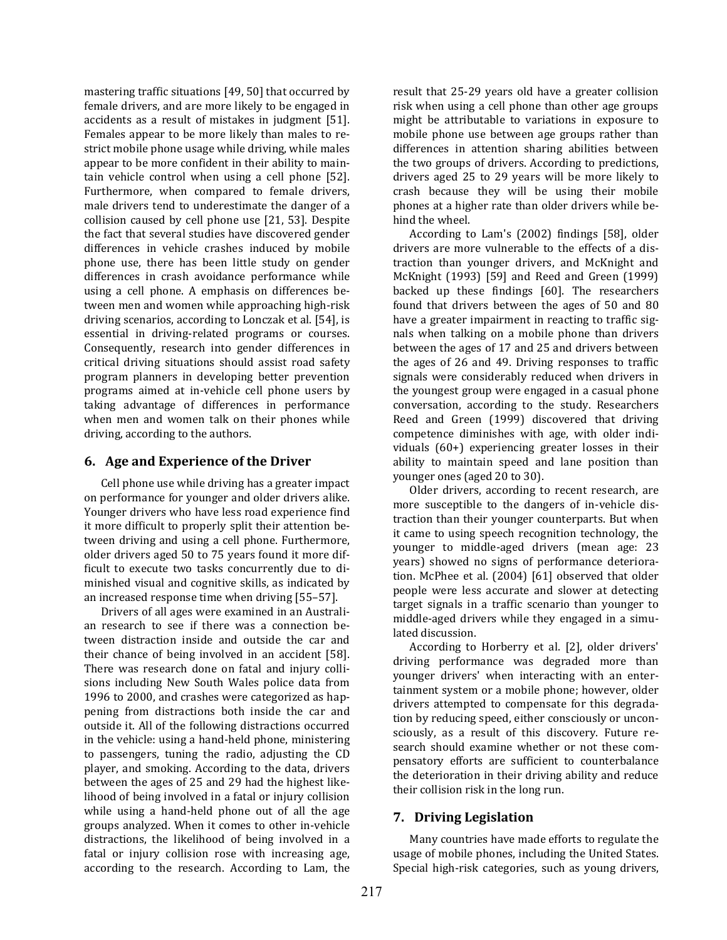mastering traffic situations [49, 50] that occurred by female drivers, and are more likely to be engaged in accidents as a result of mistakes in judgment [51]. Females appear to be more likely than males to restrict mobile phone usage while driving, while males appear to be more confident in their ability to maintain vehicle control when using a cell phone [52]. Furthermore, when compared to female drivers, male drivers tend to underestimate the danger of a collision caused by cell phone use [21, 53]. Despite the fact that several studies have discovered gender differences in vehicle crashes induced by mobile phone use, there has been little study on gender differences in crash avoidance performance while using a cell phone. A emphasis on differences between men and women while approaching high-risk driving scenarios, according to Lonczak et al. [54], is essential in driving-related programs or courses. Consequently, research into gender differences in critical driving situations should assist road safety program planners in developing better prevention programs aimed at in-vehicle cell phone users by taking advantage of differences in performance when men and women talk on their phones while driving, according to the authors.

## **6. Age and Experience of the Driver**

Cell phone use while driving has a greater impact on performance for younger and older drivers alike. Younger drivers who have less road experience find it more difficult to properly split their attention between driving and using a cell phone. Furthermore, older drivers aged 50 to 75 years found it more difficult to execute two tasks concurrently due to diminished visual and cognitive skills, as indicated by an increased response time when driving [55–57].

Drivers of all ages were examined in an Australian research to see if there was a connection between distraction inside and outside the car and their chance of being involved in an accident [58]. There was research done on fatal and injury collisions including New South Wales police data from 1996 to 2000, and crashes were categorized as happening from distractions both inside the car and outside it. All of the following distractions occurred in the vehicle: using a hand-held phone, ministering to passengers, tuning the radio, adjusting the CD player, and smoking. According to the data, drivers between the ages of 25 and 29 had the highest likelihood of being involved in a fatal or injury collision while using a hand-held phone out of all the age groups analyzed. When it comes to other in-vehicle distractions, the likelihood of being involved in a fatal or injury collision rose with increasing age, according to the research. According to Lam, the result that 25-29 years old have a greater collision risk when using a cell phone than other age groups might be attributable to variations in exposure to mobile phone use between age groups rather than differences in attention sharing abilities between the two groups of drivers. According to predictions, drivers aged 25 to 29 years will be more likely to crash because they will be using their mobile phones at a higher rate than older drivers while behind the wheel.

According to Lam's (2002) findings [58], older drivers are more vulnerable to the effects of a distraction than younger drivers, and McKnight and McKnight (1993) [59] and Reed and Green (1999) backed up these findings [60]. The researchers found that drivers between the ages of 50 and 80 have a greater impairment in reacting to traffic signals when talking on a mobile phone than drivers between the ages of 17 and 25 and drivers between the ages of 26 and 49. Driving responses to traffic signals were considerably reduced when drivers in the youngest group were engaged in a casual phone conversation, according to the study. Researchers Reed and Green (1999) discovered that driving competence diminishes with age, with older individuals (60+) experiencing greater losses in their ability to maintain speed and lane position than younger ones (aged 20 to 30).

Older drivers, according to recent research, are more susceptible to the dangers of in-vehicle distraction than their younger counterparts. But when it came to using speech recognition technology, the younger to middle-aged drivers (mean age: 23 years) showed no signs of performance deterioration. McPhee et al. (2004) [61] observed that older people were less accurate and slower at detecting target signals in a traffic scenario than younger to middle-aged drivers while they engaged in a simulated discussion.

According to Horberry et al. [2], older drivers' driving performance was degraded more than younger drivers' when interacting with an entertainment system or a mobile phone; however, older drivers attempted to compensate for this degradation by reducing speed, either consciously or unconsciously, as a result of this discovery. Future research should examine whether or not these compensatory efforts are sufficient to counterbalance the deterioration in their driving ability and reduce their collision risk in the long run.

# **7. Driving Legislation**

Many countries have made efforts to regulate the usage of mobile phones, including the United States. Special high-risk categories, such as young drivers,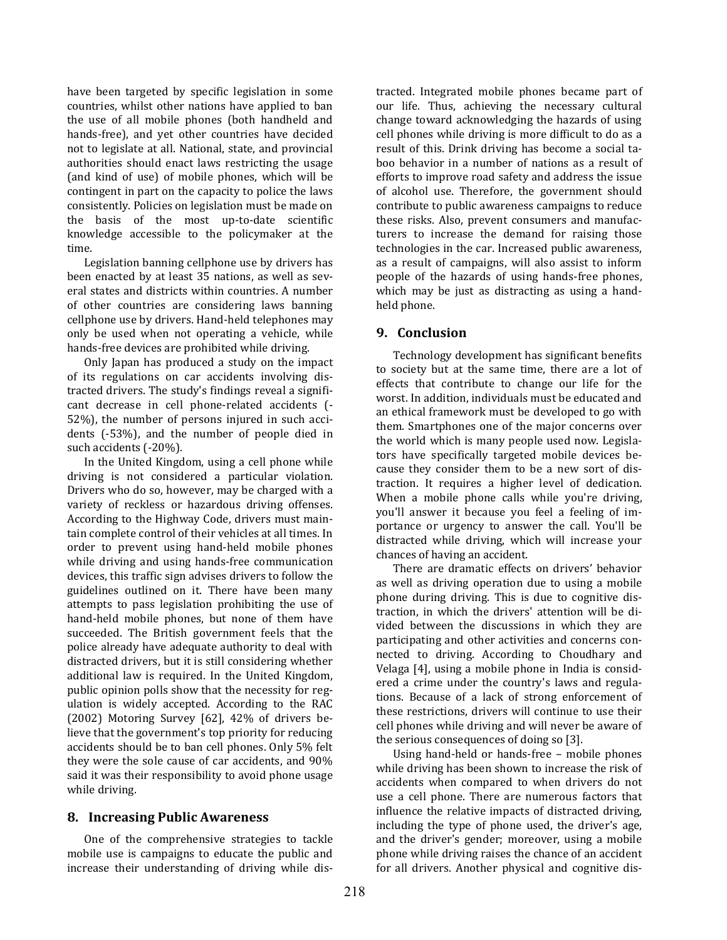have been targeted by specific legislation in some countries, whilst other nations have applied to ban the use of all mobile phones (both handheld and hands-free), and yet other countries have decided not to legislate at all. National, state, and provincial authorities should enact laws restricting the usage (and kind of use) of mobile phones, which will be contingent in part on the capacity to police the laws consistently. Policies on legislation must be made on the basis of the most up-to-date scientific knowledge accessible to the policymaker at the time.

Legislation banning cellphone use by drivers has been enacted by at least 35 nations, as well as several states and districts within countries. A number of other countries are considering laws banning cellphone use by drivers. Hand-held telephones may only be used when not operating a vehicle, while hands-free devices are prohibited while driving.

Only Japan has produced a study on the impact of its regulations on car accidents involving distracted drivers. The study's findings reveal a significant decrease in cell phone-related accidents (- 52%), the number of persons injured in such accidents (-53%), and the number of people died in such accidents (-20%).

In the United Kingdom, using a cell phone while driving is not considered a particular violation. Drivers who do so, however, may be charged with a variety of reckless or hazardous driving offenses. According to the Highway Code, drivers must maintain complete control of their vehicles at all times. In order to prevent using hand-held mobile phones while driving and using hands-free communication devices, this traffic sign advises drivers to follow the guidelines outlined on it. There have been many attempts to pass legislation prohibiting the use of hand-held mobile phones, but none of them have succeeded. The British government feels that the police already have adequate authority to deal with distracted drivers, but it is still considering whether additional law is required. In the United Kingdom, public opinion polls show that the necessity for regulation is widely accepted. According to the RAC (2002) Motoring Survey [62], 42% of drivers believe that the government's top priority for reducing accidents should be to ban cell phones. Only 5% felt they were the sole cause of car accidents, and 90% said it was their responsibility to avoid phone usage while driving.

### **8. Increasing Public Awareness**

One of the comprehensive strategies to tackle mobile use is campaigns to educate the public and increase their understanding of driving while distracted. Integrated mobile phones became part of our life. Thus, achieving the necessary cultural change toward acknowledging the hazards of using cell phones while driving is more difficult to do as a result of this. Drink driving has become a social taboo behavior in a number of nations as a result of efforts to improve road safety and address the issue of alcohol use. Therefore, the government should contribute to public awareness campaigns to reduce these risks. Also, prevent consumers and manufacturers to increase the demand for raising those technologies in the car. Increased public awareness, as a result of campaigns, will also assist to inform people of the hazards of using hands-free phones, which may be just as distracting as using a handheld phone.

### **9. Conclusion**

Technology development has significant benefits to society but at the same time, there are a lot of effects that contribute to change our life for the worst. In addition, individuals must be educated and an ethical framework must be developed to go with them. Smartphones one of the major concerns over the world which is many people used now. Legislators have specifically targeted mobile devices because they consider them to be a new sort of distraction. It requires a higher level of dedication. When a mobile phone calls while you're driving, you'll answer it because you feel a feeling of importance or urgency to answer the call. You'll be distracted while driving, which will increase your chances of having an accident.

There are dramatic effects on drivers' behavior as well as driving operation due to using a mobile phone during driving. This is due to cognitive distraction, in which the drivers' attention will be divided between the discussions in which they are participating and other activities and concerns connected to driving. According to Choudhary and Velaga [4], using a mobile phone in India is considered a crime under the country's laws and regulations. Because of a lack of strong enforcement of these restrictions, drivers will continue to use their cell phones while driving and will never be aware of the serious consequences of doing so [3].

Using hand-held or hands-free – mobile phones while driving has been shown to increase the risk of accidents when compared to when drivers do not use a cell phone. There are numerous factors that influence the relative impacts of distracted driving, including the type of phone used, the driver's age, and the driver's gender; moreover, using a mobile phone while driving raises the chance of an accident for all drivers. Another physical and cognitive dis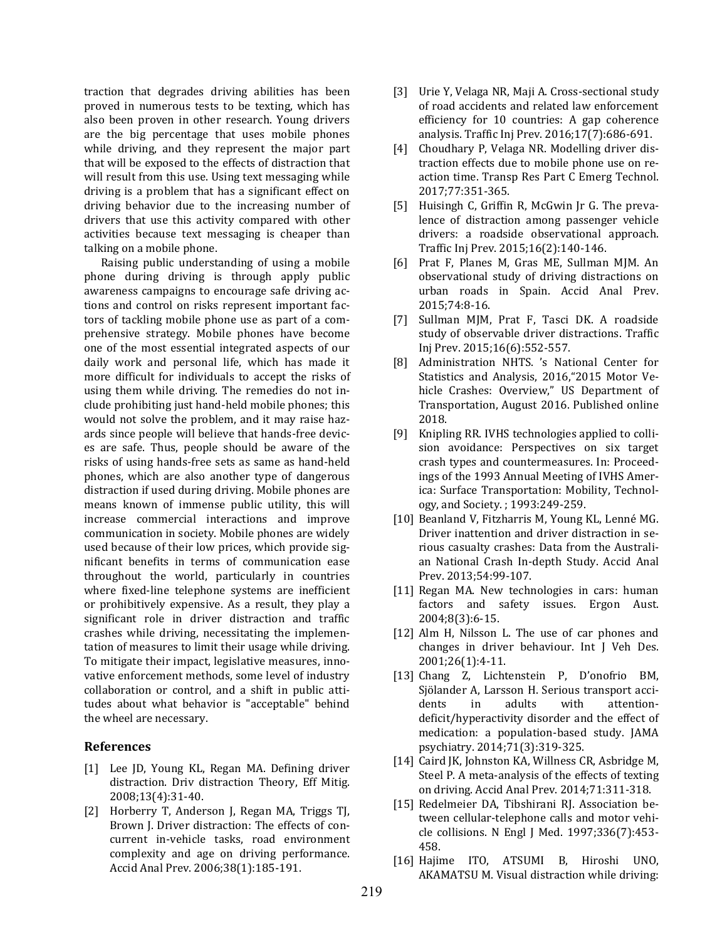traction that degrades driving abilities has been proved in numerous tests to be texting, which has also been proven in other research. Young drivers are the big percentage that uses mobile phones while driving, and they represent the major part that will be exposed to the effects of distraction that will result from this use. Using text messaging while driving is a problem that has a significant effect on driving behavior due to the increasing number of drivers that use this activity compared with other activities because text messaging is cheaper than talking on a mobile phone.

Raising public understanding of using a mobile phone during driving is through apply public awareness campaigns to encourage safe driving actions and control on risks represent important factors of tackling mobile phone use as part of a comprehensive strategy. Mobile phones have become one of the most essential integrated aspects of our daily work and personal life, which has made it more difficult for individuals to accept the risks of using them while driving. The remedies do not include prohibiting just hand-held mobile phones; this would not solve the problem, and it may raise hazards since people will believe that hands-free devices are safe. Thus, people should be aware of the risks of using hands-free sets as same as hand-held phones, which are also another type of dangerous distraction if used during driving. Mobile phones are means known of immense public utility, this will increase commercial interactions and improve communication in society. Mobile phones are widely used because of their low prices, which provide significant benefits in terms of communication ease throughout the world, particularly in countries where fixed-line telephone systems are inefficient or prohibitively expensive. As a result, they play a significant role in driver distraction and traffic crashes while driving, necessitating the implementation of measures to limit their usage while driving. To mitigate their impact, legislative measures, innovative enforcement methods, some level of industry collaboration or control, and a shift in public attitudes about what behavior is "acceptable" behind the wheel are necessary.

#### **References**

- [1] Lee JD, Young KL, Regan MA. Defining driver distraction. Driv distraction Theory, Eff Mitig. 2008;13(4):31-40.
- [2] Horberry T, Anderson J, Regan MA, Triggs TJ, Brown J. Driver distraction: The effects of concurrent in-vehicle tasks, road environment complexity and age on driving performance. Accid Anal Prev. 2006;38(1):185-191.
- [3] Urie Y, Velaga NR, Maji A. Cross-sectional study of road accidents and related law enforcement efficiency for 10 countries: A gap coherence analysis. Traffic Inj Prev. 2016;17(7):686-691.
- [4] Choudhary P, Velaga NR. Modelling driver distraction effects due to mobile phone use on reaction time. Transp Res Part C Emerg Technol. 2017;77:351-365.
- [5] Huisingh C, Griffin R, McGwin Jr G. The prevalence of distraction among passenger vehicle drivers: a roadside observational approach. Traffic Inj Prev. 2015;16(2):140-146.
- [6] Prat F, Planes M, Gras ME, Sullman MJM. An observational study of driving distractions on urban roads in Spain. Accid Anal Prev. 2015;74:8-16.
- [7] Sullman MJM, Prat F, Tasci DK. A roadside study of observable driver distractions. Traffic Inj Prev. 2015;16(6):552-557.
- [8] Administration NHTS. 's National Center for Statistics and Analysis, 2016,"2015 Motor Vehicle Crashes: Overview," US Department of Transportation, August 2016. Published online 2018.
- [9] Knipling RR. IVHS technologies applied to collision avoidance: Perspectives on six target crash types and countermeasures. In: Proceedings of the 1993 Annual Meeting of IVHS America: Surface Transportation: Mobility, Technology, and Society. ; 1993:249-259.
- [10] Beanland V, Fitzharris M, Young KL, Lenné MG. Driver inattention and driver distraction in serious casualty crashes: Data from the Australian National Crash In-depth Study. Accid Anal Prev. 2013;54:99-107.
- [11] Regan MA. New technologies in cars: human factors and safety issues. Ergon Aust. 2004;8(3):6-15.
- [12] Alm H, Nilsson L. The use of car phones and changes in driver behaviour. Int J Veh Des. 2001;26(1):4-11.
- [13] Chang Z, Lichtenstein P, D'onofrio BM, Sjölander A, Larsson H. Serious transport accidents in adults with attentiondeficit/hyperactivity disorder and the effect of medication: a population-based study. JAMA psychiatry. 2014;71(3):319-325.
- [14] Caird JK, Johnston KA, Willness CR, Asbridge M, Steel P. A meta-analysis of the effects of texting on driving. Accid Anal Prev. 2014;71:311-318.
- [15] Redelmeier DA, Tibshirani RJ. Association between cellular-telephone calls and motor vehicle collisions. N Engl J Med. 1997;336(7):453- 458.
- [16] Hajime ITO, ATSUMI B, Hiroshi UNO, AKAMATSU M. Visual distraction while driving: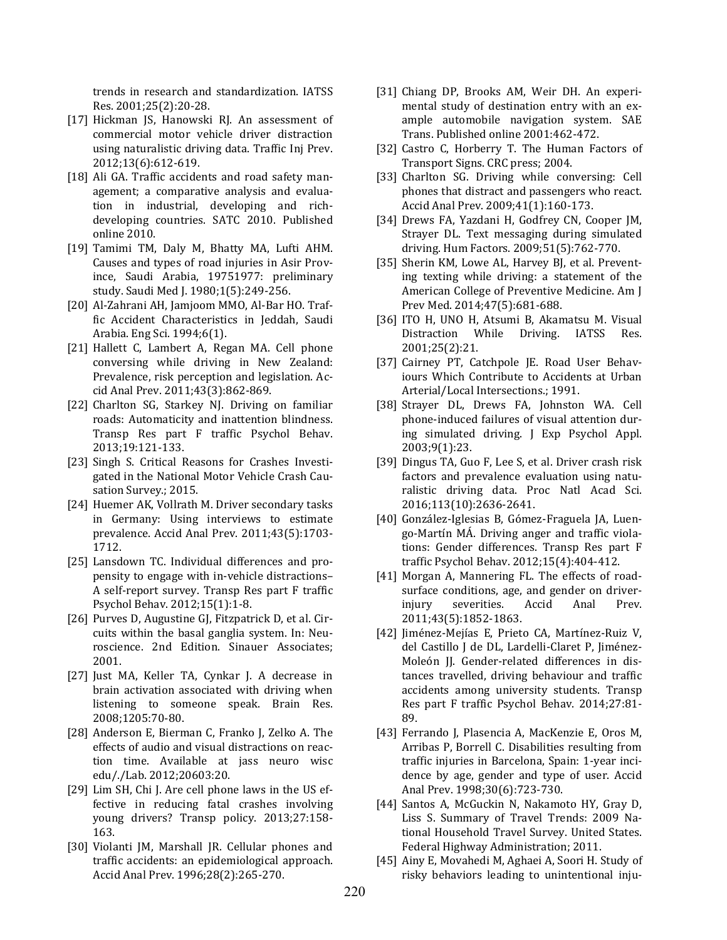trends in research and standardization. IATSS Res. 2001;25(2):20-28.

- [17] Hickman JS, Hanowski RJ. An assessment of commercial motor vehicle driver distraction using naturalistic driving data. Traffic Inj Prev. 2012;13(6):612-619.
- [18] Ali GA. Traffic accidents and road safety management; a comparative analysis and evaluation in industrial, developing and richdeveloping countries. SATC 2010. Published online 2010.
- [19] Tamimi TM, Daly M, Bhatty MA, Lufti AHM. Causes and types of road injuries in Asir Province, Saudi Arabia, 19751977: preliminary study. Saudi Med J. 1980;1(5):249-256.
- [20] Al-Zahrani AH, Jamjoom MMO, Al-Bar HO. Traffic Accident Characteristics in Jeddah, Saudi Arabia. Eng Sci. 1994;6(1).
- [21] Hallett C, Lambert A, Regan MA. Cell phone conversing while driving in New Zealand: Prevalence, risk perception and legislation. Accid Anal Prev. 2011;43(3):862-869.
- [22] Charlton SG, Starkey NJ. Driving on familiar roads: Automaticity and inattention blindness. Transp Res part F traffic Psychol Behav. 2013;19:121-133.
- [23] Singh S. Critical Reasons for Crashes Investigated in the National Motor Vehicle Crash Causation Survey.; 2015.
- [24] Huemer AK, Vollrath M. Driver secondary tasks in Germany: Using interviews to estimate prevalence. Accid Anal Prev. 2011;43(5):1703- 1712.
- [25] Lansdown TC. Individual differences and propensity to engage with in-vehicle distractions– A self-report survey. Transp Res part F traffic Psychol Behav. 2012;15(1):1-8.
- [26] Purves D, Augustine GJ, Fitzpatrick D, et al. Circuits within the basal ganglia system. In: Neuroscience. 2nd Edition. Sinauer Associates; 2001.
- [27] Just MA, Keller TA, Cynkar J. A decrease in brain activation associated with driving when listening to someone speak. Brain Res. 2008;1205:70-80.
- [28] Anderson E, Bierman C, Franko J, Zelko A. The effects of audio and visual distractions on reaction time. Available at jass neuro wisc edu/./Lab. 2012;20603:20.
- [29] Lim SH, Chi J. Are cell phone laws in the US effective in reducing fatal crashes involving young drivers? Transp policy. 2013;27:158- 163.
- [30] Violanti JM, Marshall JR. Cellular phones and traffic accidents: an epidemiological approach. Accid Anal Prev. 1996;28(2):265-270.
- [31] Chiang DP, Brooks AM, Weir DH. An experimental study of destination entry with an example automobile navigation system. SAE Trans. Published online 2001:462-472.
- [32] Castro C, Horberry T. The Human Factors of Transport Signs. CRC press; 2004.
- [33] Charlton SG. Driving while conversing: Cell phones that distract and passengers who react. Accid Anal Prev. 2009;41(1):160-173.
- [34] Drews FA, Yazdani H, Godfrey CN, Cooper JM, Strayer DL. Text messaging during simulated driving. Hum Factors. 2009;51(5):762-770.
- [35] Sherin KM, Lowe AL, Harvey BJ, et al. Preventing texting while driving: a statement of the American College of Preventive Medicine. Am J Prev Med. 2014;47(5):681-688.
- [36] ITO H, UNO H, Atsumi B, Akamatsu M. Visual Distraction While Driving. IATSS Res. 2001;25(2):21.
- [37] Cairney PT, Catchpole JE. Road User Behaviours Which Contribute to Accidents at Urban Arterial/Local Intersections.; 1991.
- [38] Strayer DL, Drews FA, Johnston WA. Cell phone-induced failures of visual attention during simulated driving. J Exp Psychol Appl. 2003;9(1):23.
- [39] Dingus TA, Guo F, Lee S, et al. Driver crash risk factors and prevalence evaluation using naturalistic driving data. Proc Natl Acad Sci. 2016;113(10):2636-2641.
- [40] González-Iglesias B, Gómez-Fraguela JA, Luengo-Martín MÁ. Driving anger and traffic violations: Gender differences. Transp Res part F traffic Psychol Behav. 2012;15(4):404-412.
- [41] Morgan A, Mannering FL. The effects of roadsurface conditions, age, and gender on driverinjury severities. Accid Anal Prev. 2011;43(5):1852-1863.
- [42] Jiménez-Mejías E, Prieto CA, Martínez-Ruiz V, del Castillo J de DL, Lardelli-Claret P, Jiménez-Moleón JJ. Gender-related differences in distances travelled, driving behaviour and traffic accidents among university students. Transp Res part F traffic Psychol Behav. 2014;27:81- 89.
- [43] Ferrando J, Plasencia A, MacKenzie E, Oros M, Arribas P, Borrell C. Disabilities resulting from traffic injuries in Barcelona, Spain: 1-year incidence by age, gender and type of user. Accid Anal Prev. 1998;30(6):723-730.
- [44] Santos A, McGuckin N, Nakamoto HY, Gray D, Liss S. Summary of Travel Trends: 2009 National Household Travel Survey. United States. Federal Highway Administration; 2011.
- [45] Ainy E, Movahedi M, Aghaei A, Soori H. Study of risky behaviors leading to unintentional inju-